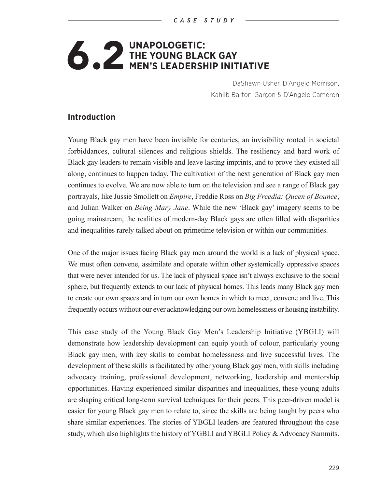# **6.2 UNAPOLOGETIC:**<br>MEN'S LEADERSI **THE YOUNG BLACK GAY MEN'S LEADERSHIP INITIATIVE**

DaShawn Usher, D'Angelo Morrison, Kahlib Barton-Garçon & D'Angelo Cameron

#### **Introduction**

Young Black gay men have been invisible for centuries, an invisibility rooted in societal forbiddances, cultural silences and religious shields. The resiliency and hard work of Black gay leaders to remain visible and leave lasting imprints, and to prove they existed all along, continues to happen today. The cultivation of the next generation of Black gay men continues to evolve. We are now able to turn on the television and see a range of Black gay portrayals, like Jussie Smollett on *Empire*, Freddie Ross on *Big Freedia: Queen of Bounce*, and Julian Walker on *Being Mary Jane*. While the new 'Black gay' imagery seems to be going mainstream, the realities of modern-day Black gays are often filled with disparities and inequalities rarely talked about on primetime television or within our communities.

One of the major issues facing Black gay men around the world is a lack of physical space. We must often convene, assimilate and operate within other systemically oppressive spaces that were never intended for us. The lack of physical space isn't always exclusive to the social sphere, but frequently extends to our lack of physical homes. This leads many Black gay men to create our own spaces and in turn our own homes in which to meet, convene and live. This frequently occurs without our ever acknowledging our own homelessness or housing instability.

This case study of the Young Black Gay Men's Leadership Initiative (YBGLI) will demonstrate how leadership development can equip youth of colour, particularly young Black gay men, with key skills to combat homelessness and live successful lives. The development of these skills is facilitated by other young Black gay men, with skills including advocacy training, professional development, networking, leadership and mentorship opportunities. Having experienced similar disparities and inequalities, these young adults are shaping critical long-term survival techniques for their peers. This peer-driven model is easier for young Black gay men to relate to, since the skills are being taught by peers who share similar experiences. The stories of YBGLI leaders are featured throughout the case study, which also highlights the history of YGBLI and YBGLI Policy & Advocacy Summits.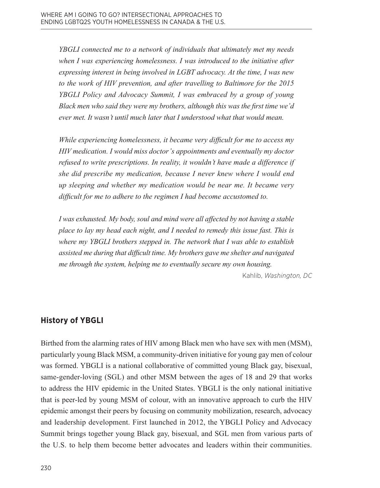*YBGLI connected me to a network of individuals that ultimately met my needs when I was experiencing homelessness. I was introduced to the initiative after expressing interest in being involved in LGBT advocacy. At the time, I was new to the work of HIV prevention, and after travelling to Baltimore for the 2015 YBGLI Policy and Advocacy Summit, I was embraced by a group of young Black men who said they were my brothers, although this was the first time we'd ever met. It wasn't until much later that I understood what that would mean.* 

*While experiencing homelessness, it became very difficult for me to access my HIV medication. I would miss doctor's appointments and eventually my doctor refused to write prescriptions. In reality, it wouldn't have made a difference if she did prescribe my medication, because I never knew where I would end up sleeping and whether my medication would be near me. It became very difficult for me to adhere to the regimen I had become accustomed to.* 

*I was exhausted. My body, soul and mind were all affected by not having a stable place to lay my head each night, and I needed to remedy this issue fast. This is where my YBGLI brothers stepped in. The network that I was able to establish assisted me during that difficult time. My brothers gave me shelter and navigated me through the system, helping me to eventually secure my own housing.*

Kahlib, *Washington, DC*

# **History of YBGLI**

Birthed from the alarming rates of HIV among Black men who have sex with men (MSM), particularly young Black MSM, a community-driven initiative for young gay men of colour was formed. YBGLI is a national collaborative of committed young Black gay, bisexual, same-gender-loving (SGL) and other MSM between the ages of 18 and 29 that works to address the HIV epidemic in the United States. YBGLI is the only national initiative that is peer-led by young MSM of colour, with an innovative approach to curb the HIV epidemic amongst their peers by focusing on community mobilization, research, advocacy and leadership development. First launched in 2012, the YBGLI Policy and Advocacy Summit brings together young Black gay, bisexual, and SGL men from various parts of the U.S. to help them become better advocates and leaders within their communities.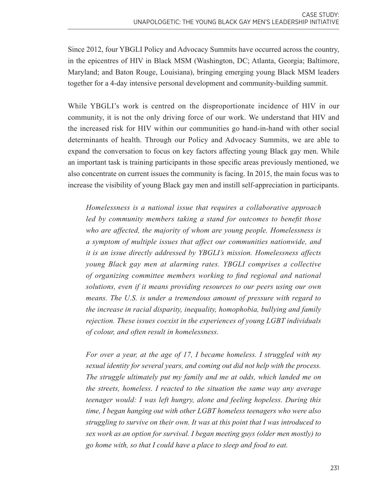Since 2012, four YBGLI Policy and Advocacy Summits have occurred across the country, in the epicentres of HIV in Black MSM (Washington, DC; Atlanta, Georgia; Baltimore, Maryland; and Baton Rouge, Louisiana), bringing emerging young Black MSM leaders together for a 4-day intensive personal development and community-building summit.

While YBGLI's work is centred on the disproportionate incidence of HIV in our community, it is not the only driving force of our work. We understand that HIV and the increased risk for HIV within our communities go hand-in-hand with other social determinants of health. Through our Policy and Advocacy Summits, we are able to expand the conversation to focus on key factors affecting young Black gay men. While an important task is training participants in those specific areas previously mentioned, we also concentrate on current issues the community is facing. In 2015, the main focus was to increase the visibility of young Black gay men and instill self-appreciation in participants.

*Homelessness is a national issue that requires a collaborative approach led by community members taking a stand for outcomes to benefit those who are affected, the majority of whom are young people. Homelessness is a symptom of multiple issues that affect our communities nationwide, and it is an issue directly addressed by YBGLI's mission. Homelessness affects young Black gay men at alarming rates. YBGLI comprises a collective of organizing committee members working to find regional and national solutions, even if it means providing resources to our peers using our own means. The U.S. is under a tremendous amount of pressure with regard to the increase in racial disparity, inequality, homophobia, bullying and family rejection. These issues coexist in the experiences of young LGBT individuals of colour, and often result in homelessness.*

*For over a year, at the age of 17, I became homeless. I struggled with my sexual identity for several years, and coming out did not help with the process. The struggle ultimately put my family and me at odds, which landed me on the streets, homeless. I reacted to the situation the same way any average teenager would: I was left hungry, alone and feeling hopeless. During this time, I began hanging out with other LGBT homeless teenagers who were also struggling to survive on their own. It was at this point that I was introduced to sex work as an option for survival. I began meeting guys (older men mostly) to go home with, so that I could have a place to sleep and food to eat.*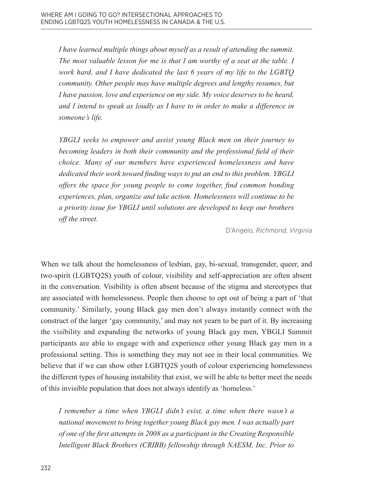*I have learned multiple things about myself as a result of attending the summit. The most valuable lesson for me is that I am worthy of a seat at the table. I work hard, and I have dedicated the last 6 years of my life to the LGBTQ community. Other people may have multiple degrees and lengthy resumes, but I have passion, love and experience on my side. My voice deserves to be heard, and I intend to speak as loudly as I have to in order to make a difference in someone's life.*

*YBGLI seeks to empower and assist young Black men on their journey to becoming leaders in both their community and the professional field of their choice. Many of our members have experienced homelessness and have dedicated their work toward finding ways to put an end to this problem. YBGLI offers the space for young people to come together, find common bonding experiences, plan, organize and take action. Homelessness will continue to be a priority issue for YBGLI until solutions are developed to keep our brothers off the street.*

D'Angelo, *Richmond, Virginia*

When we talk about the homelessness of lesbian, gay, bi-sexual, transgender, queer, and two-spirit (LGBTQ2S) youth of colour, visibility and self-appreciation are often absent in the conversation. Visibility is often absent because of the stigma and stereotypes that are associated with homelessness. People then choose to opt out of being a part of 'that community.' Similarly, young Black gay men don't always instantly connect with the construct of the larger 'gay community,' and may not yearn to be part of it. By increasing the visibility and expanding the networks of young Black gay men, YBGLI Summit participants are able to engage with and experience other young Black gay men in a professional setting. This is something they may not see in their local communities. We believe that if we can show other LGBTQ2S youth of colour experiencing homelessness the different types of housing instability that exist, we will be able to better meet the needs of this invisible population that does not always identify as 'homeless.'

*I remember a time when YBGLI didn't exist, a time when there wasn't a national movement to bring together young Black gay men. I was actually part of one of the first attempts in 2008 as a participant in the Creating Responsible Intelligent Black Brothers (CRIBB) fellowship through NAESM, Inc. Prior to*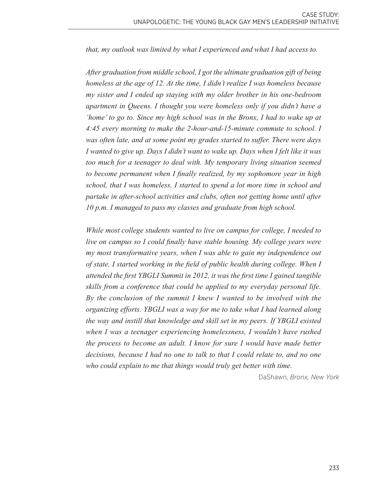*that, my outlook was limited by what I experienced and what I had access to.* 

*After graduation from middle school, I got the ultimate graduation gift of being homeless at the age of 12. At the time, I didn't realize I was homeless because my sister and I ended up staying with my older brother in his one-bedroom apartment in Queens. I thought you were homeless only if you didn't have a 'home' to go to. Since my high school was in the Bronx, I had to wake up at 4:45 every morning to make the 2-hour-and-15-minute commute to school. I was often late, and at some point my grades started to suffer. There were days I wanted to give up. Days I didn't want to wake up. Days when I felt like it was too much for a teenager to deal with. My temporary living situation seemed to become permanent when I finally realized, by my sophomore year in high school, that I was homeless. I started to spend a lot more time in school and partake in after-school activities and clubs, often not getting home until after 10 p.m. I managed to pass my classes and graduate from high school.*

*While most college students wanted to live on campus for college, I needed to live on campus so I could finally have stable housing. My college years were my most transformative years, when I was able to gain my independence out of state. I started working in the field of public health during college. When I attended the first YBGLI Summit in 2012, it was the first time I gained tangible skills from a conference that could be applied to my everyday personal life. By the conclusion of the summit I knew I wanted to be involved with the organizing efforts. YBGLI was a way for me to take what I had learned along the way and instill that knowledge and skill set in my peers. If YBGLI existed when I was a teenager experiencing homelessness, I wouldn't have rushed the process to become an adult. I know for sure I would have made better decisions, because I had no one to talk to that I could relate to, and no one who could explain to me that things would truly get better with time.*

DaShawn, *Bronx, New York*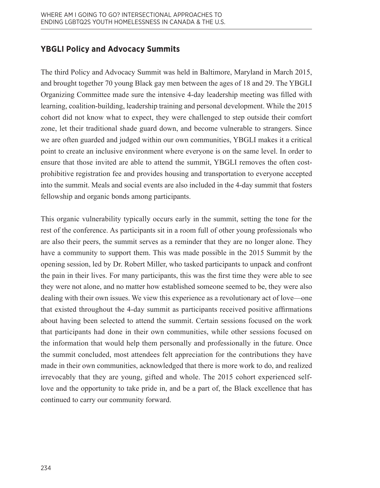# **YBGLI Policy and Advocacy Summits**

The third Policy and Advocacy Summit was held in Baltimore, Maryland in March 2015, and brought together 70 young Black gay men between the ages of 18 and 29. The YBGLI Organizing Committee made sure the intensive 4-day leadership meeting was filled with learning, coalition-building, leadership training and personal development. While the 2015 cohort did not know what to expect, they were challenged to step outside their comfort zone, let their traditional shade guard down, and become vulnerable to strangers. Since we are often guarded and judged within our own communities, YBGLI makes it a critical point to create an inclusive environment where everyone is on the same level. In order to ensure that those invited are able to attend the summit, YBGLI removes the often costprohibitive registration fee and provides housing and transportation to everyone accepted into the summit. Meals and social events are also included in the 4-day summit that fosters fellowship and organic bonds among participants.

This organic vulnerability typically occurs early in the summit, setting the tone for the rest of the conference. As participants sit in a room full of other young professionals who are also their peers, the summit serves as a reminder that they are no longer alone. They have a community to support them. This was made possible in the 2015 Summit by the opening session, led by Dr. Robert Miller, who tasked participants to unpack and confront the pain in their lives. For many participants, this was the first time they were able to see they were not alone, and no matter how established someone seemed to be, they were also dealing with their own issues. We view this experience as a revolutionary act of love—one that existed throughout the 4-day summit as participants received positive affirmations about having been selected to attend the summit. Certain sessions focused on the work that participants had done in their own communities, while other sessions focused on the information that would help them personally and professionally in the future. Once the summit concluded, most attendees felt appreciation for the contributions they have made in their own communities, acknowledged that there is more work to do, and realized irrevocably that they are young, gifted and whole. The 2015 cohort experienced selflove and the opportunity to take pride in, and be a part of, the Black excellence that has continued to carry our community forward.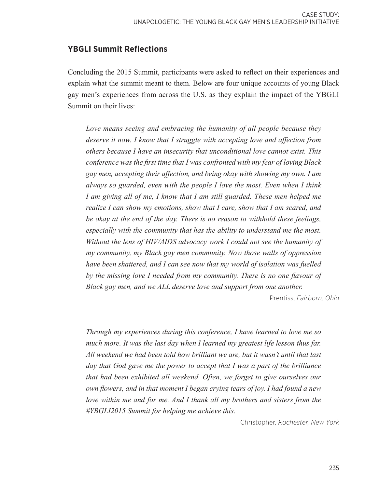# **YBGLI Summit Reflections**

Concluding the 2015 Summit, participants were asked to reflect on their experiences and explain what the summit meant to them. Below are four unique accounts of young Black gay men's experiences from across the U.S. as they explain the impact of the YBGLI Summit on their lives:

*Love means seeing and embracing the humanity of all people because they deserve it now. I know that I struggle with accepting love and affection from others because I have an insecurity that unconditional love cannot exist. This conference was the first time that I was confronted with my fear of loving Black gay men, accepting their affection, and being okay with showing my own. I am always so guarded, even with the people I love the most. Even when I think*  I am giving all of me, I know that I am still guarded. These men helped me *realize I can show my emotions, show that I care, show that I am scared, and be okay at the end of the day. There is no reason to withhold these feelings, especially with the community that has the ability to understand me the most. Without the lens of HIV/AIDS advocacy work I could not see the humanity of my community, my Black gay men community. Now those walls of oppression have been shattered, and I can see now that my world of isolation was fuelled by the missing love I needed from my community. There is no one flavour of Black gay men, and we ALL deserve love and support from one another.*

Prentiss, *Fairborn, Ohio*

*Through my experiences during this conference, I have learned to love me so*  much more. It was the last day when I learned my greatest life lesson thus far. *All weekend we had been told how brilliant we are, but it wasn't until that last day that God gave me the power to accept that I was a part of the brilliance that had been exhibited all weekend. Often, we forget to give ourselves our own flowers, and in that moment I began crying tears of joy. I had found a new love within me and for me. And I thank all my brothers and sisters from the #YBGLI2015 Summit for helping me achieve this.*

Christopher, *Rochester, New York*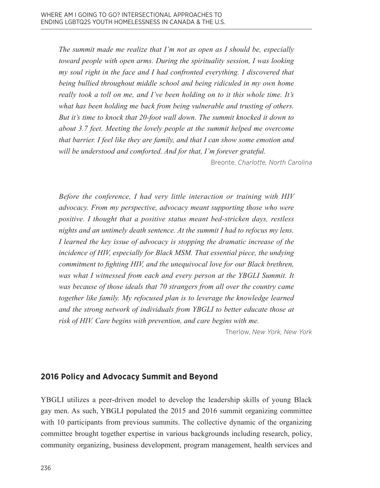*The summit made me realize that I'm not as open as I should be, especially toward people with open arms. During the spirituality session, I was looking my soul right in the face and I had confronted everything. I discovered that being bullied throughout middle school and being ridiculed in my own home really took a toll on me, and I've been holding on to it this whole time. It's what has been holding me back from being vulnerable and trusting of others. But it's time to knock that 20-foot wall down. The summit knocked it down to about 3.7 feet. Meeting the lovely people at the summit helped me overcome that barrier. I feel like they are family, and that I can show some emotion and will be understood and comforted. And for that, I'm forever grateful.*

Breonte, *Charlotte, North Carolina*

*Before the conference, I had very little interaction or training with HIV advocacy. From my perspective, advocacy meant supporting those who were positive. I thought that a positive status meant bed-stricken days, restless nights and an untimely death sentence. At the summit I had to refocus my lens. I learned the key issue of advocacy is stopping the dramatic increase of the incidence of HIV, especially for Black MSM. That essential piece, the undying commitment to fighting HIV, and the unequivocal love for our Black brethren, was what I witnessed from each and every person at the YBGLI Summit. It was because of those ideals that 70 strangers from all over the country came together like family. My refocused plan is to leverage the knowledge learned and the strong network of individuals from YBGLI to better educate those at risk of HIV. Care begins with prevention, and care begins with me.*

Therlow, *New York, New York*

#### **2016 Policy and Advocacy Summit and Beyond**

YBGLI utilizes a peer-driven model to develop the leadership skills of young Black gay men. As such, YBGLI populated the 2015 and 2016 summit organizing committee with 10 participants from previous summits. The collective dynamic of the organizing committee brought together expertise in various backgrounds including research, policy, community organizing, business development, program management, health services and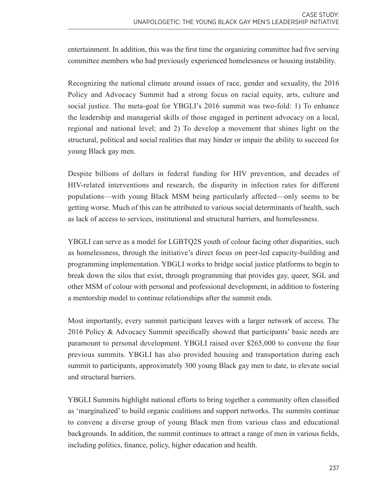entertainment. In addition, this was the first time the organizing committee had five serving committee members who had previously experienced homelessness or housing instability.

Recognizing the national climate around issues of race, gender and sexuality, the 2016 Policy and Advocacy Summit had a strong focus on racial equity, arts, culture and social justice. The meta-goal for YBGLI's 2016 summit was two-fold: 1) To enhance the leadership and managerial skills of those engaged in pertinent advocacy on a local, regional and national level; and 2) To develop a movement that shines light on the structural, political and social realities that may hinder or impair the ability to succeed for young Black gay men.

Despite billions of dollars in federal funding for HIV prevention, and decades of HIV-related interventions and research, the disparity in infection rates for different populations—with young Black MSM being particularly affected—only seems to be getting worse. Much of this can be attributed to various social determinants of health, such as lack of access to services, institutional and structural barriers, and homelessness.

YBGLI can serve as a model for LGBTQ2S youth of colour facing other disparities, such as homelessness, through the initiative's direct focus on peer-led capacity-building and programming implementation. YBGLI works to bridge social justice platforms to begin to break down the silos that exist, through programming that provides gay, queer, SGL and other MSM of colour with personal and professional development, in addition to fostering a mentorship model to continue relationships after the summit ends.

Most importantly, every summit participant leaves with a larger network of access. The 2016 Policy & Advocacy Summit specifically showed that participants' basic needs are paramount to personal development. YBGLI raised over \$265,000 to convene the four previous summits. YBGLI has also provided housing and transportation during each summit to participants, approximately 300 young Black gay men to date, to elevate social and structural barriers.

YBGLI Summits highlight national efforts to bring together a community often classified as 'marginalized' to build organic coalitions and support networks. The summits continue to convene a diverse group of young Black men from various class and educational backgrounds. In addition, the summit continues to attract a range of men in various fields, including politics, finance, policy, higher education and health.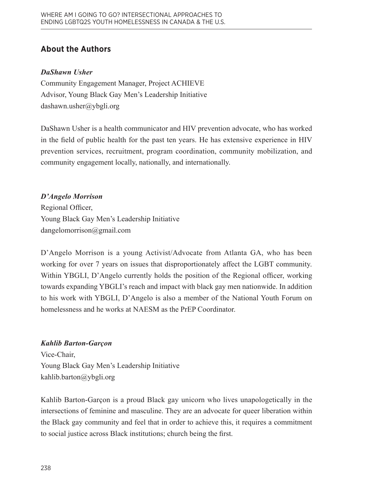# **About the Authors**

### *DaShawn Usher*

Community Engagement Manager, Project ACHIEVE Advisor, Young Black Gay Men's Leadership Initiative [dashawn.usher@ybgli.org](mailto:dashawn.usher%40ybgli.org?subject=)

DaShawn Usher is a health communicator and HIV prevention advocate, who has worked in the field of public health for the past ten years. He has extensive experience in HIV prevention services, recruitment, program coordination, community mobilization, and community engagement locally, nationally, and internationally.

# *D'Angelo Morrison*

Regional Officer, Young Black Gay Men's Leadership Initiative [dangelomorrison@gmail.com](mailto:dangelomorrison%40gmail.com?subject=)

D'Angelo Morrison is a young Activist/Advocate from Atlanta GA, who has been working for over 7 years on issues that disproportionately affect the LGBT community. Within YBGLI, D'Angelo currently holds the position of the Regional officer, working towards expanding YBGLI's reach and impact with black gay men nationwide. In addition to his work with YBGLI, D'Angelo is also a member of the National Youth Forum on homelessness and he works at NAESM as the PrEP Coordinator.

### *Kahlib Barton-Garçon*

Vice-Chair, Young Black Gay Men's Leadership Initiative [kahlib.barton@ybgli.org](mailto:kahlib.barton%40ybgli.org?subject=)

Kahlib Barton-Garçon is a proud Black gay unicorn who lives unapologetically in the intersections of feminine and masculine. They are an advocate for queer liberation within the Black gay community and feel that in order to achieve this, it requires a commitment to social justice across Black institutions; church being the first.